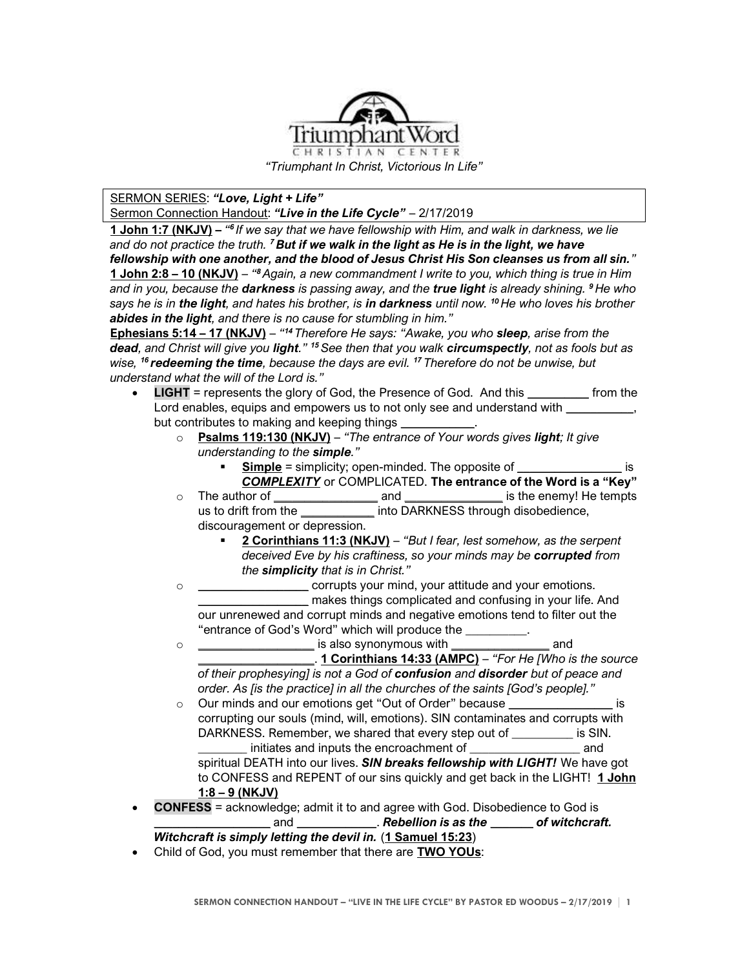

## SERMON SERIES: *"Love, Light + Life"*

Sermon Connection Handout: *"Live in the Life Cycle"* – 2/17/2019

**1 John 1:7 (NKJV) –** *" 6 If we say that we have fellowship with Him, and walk in darkness, we lie and do not practice the truth. <sup>7</sup>But if we walk in the light as He is in the light, we have fellowship with one another, and the blood of Jesus Christ His Son cleanses us from all sin."* **1 John 2:8 – 10 (NKJV)** – *" <sup>8</sup>Again, a new commandment I write to you, which thing is true in Him and in you, because the darkness is passing away, and the true light is already shining. <sup>9</sup>He who says he is in the light, and hates his brother, is in darkness until now. <sup>10</sup>He who loves his brother abides in the light, and there is no cause for stumbling in him."*

**Ephesians 5:14 – 17 (NKJV)** – *" <sup>14</sup> Therefore He says: "Awake, you who sleep, arise from the dead, and Christ will give you light." <sup>15</sup>See then that you walk circumspectly, not as fools but as wise, <sup>16</sup> redeeming the time, because the days are evil. <sup>17</sup> Therefore do not be unwise, but understand what the will of the Lord is."*

- **LIGHT** = represents the glory of God, the Presence of God. And this *\_\_\_\_\_\_\_\_\_\_* from the Lord enables, equips and empowers us to not only see and understand with  $\cdot$ but contributes to making and keeping things *\_\_\_\_\_\_\_\_\_\_\_\_*.
	- o **Psalms 119:130 (NKJV)** *"The entrance of Your words gives light; It give understanding to the simple."*
		- **Simple** = simplicity; open-minded. The opposite of *is COMPLEXITY* or COMPLICATED. **The entrance of the Word is a "Key"**
	- o The author of *\_\_\_\_\_\_\_\_\_\_\_\_\_\_\_\_\_* and *\_\_\_\_\_\_\_\_\_\_\_\_\_\_\_\_* is the enemy! He tempts us to drift from the *\_\_\_\_\_\_\_\_\_\_\_\_* into DARKNESS through disobedience, discouragement or depression.
		- **2 Corinthians 11:3 (NKJV)** *"But I fear, lest somehow, as the serpent deceived Eve by his craftiness, so your minds may be corrupted from the simplicity that is in Christ."*
	- o *\_\_\_\_\_\_\_\_\_\_\_\_\_\_\_\_\_\_* corrupts your mind, your attitude and your emotions. *\_\_\_\_\_\_\_\_\_\_\_\_\_* makes things complicated and confusing in your life. And our unrenewed and corrupt minds and negative emotions tend to filter out the "entrance of God's Word" which will produce the \_\_\_\_\_\_\_\_\_\_.
	- o *\_\_\_\_\_\_\_\_\_\_\_\_\_\_\_\_\_\_\_* is also synonymous with *\_\_\_\_\_\_\_\_\_\_\_\_\_\_\_\_* and *\_\_\_\_\_\_\_\_\_\_\_\_\_\_\_\_\_\_\_*. **1 Corinthians 14:33 (AMPC)** – *"For He [Who is the source of their prophesying] is not a God of confusion and disorder but of peace and order. As [is the practice] in all the churches of the saints [God's people]."*
	- o Our minds and our emotions get "Out of Order" because *\_\_\_\_\_\_\_\_\_\_\_\_\_\_\_\_\_* is corrupting our souls (mind, will, emotions). SIN contaminates and corrupts with DARKNESS. Remember, we shared that every step out of \_\_\_\_\_\_\_\_\_\_ is SIN. initiates and inputs the encroachment of **EXECUTE:** and

spiritual DEATH into our lives. *SIN breaks fellowship with LIGHT!* We have got to CONFESS and REPENT of our sins quickly and get back in the LIGHT! **1 John 1:8 – 9 (NKJV)**

- **CONFESS** = acknowledge; admit it to and agree with God. Disobedience to God is *\_\_\_\_\_\_\_\_\_\_\_\_\_\_\_\_\_\_\_* and *\_\_\_\_\_\_\_\_\_\_\_\_\_*. *Rebellion is as the \_\_\_\_\_\_\_ of witchcraft. Witchcraft is simply letting the devil in.* (**1 Samuel 15:23**)
- Child of God, you must remember that there are **TWO YOUs**: